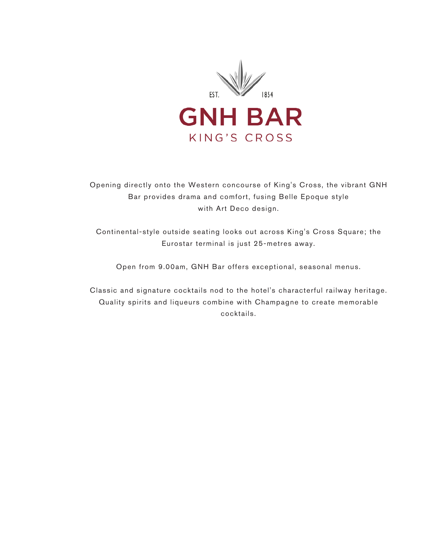

Opening directly onto the Western concourse of King's Cross, the vibrant GNH Bar provides drama and comfort, fusing Belle Epoque style with Art Deco design.

Continental-style outside seating looks out across King's Cross Square; the Eurostar terminal is just 25-metres away.

Open from 9.00am, GNH Bar offers exceptional, seasonal menus.

Classic and signature cocktails nod to the hotel's characterful railway heritage. Quality spirits and liqueurs combine with Champagne to create memorable cocktails.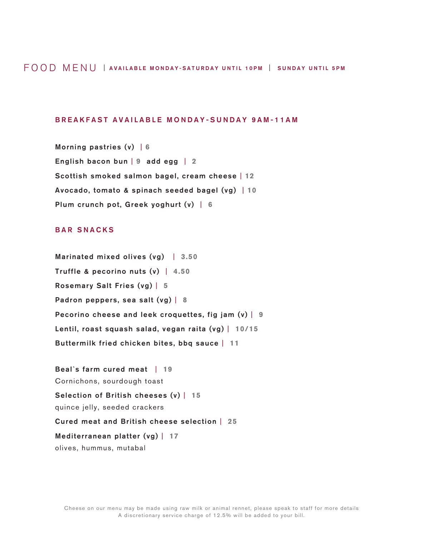### FOOD MENU | AVAILABLE MONDAY-SATURDAY UNTIL 10PM | SUNDAY UNTIL 5PM

### BREAKFAST AVAILABLE MONDAY-SUNDAY 9AM-11AM

Morning pastries (v) | **6** English bacon bun | **9** add egg | **2** Scottish smoked salmon bagel, cream cheese | **12** Avocado, tomato & spinach seeded bagel (vg) | **10** Plum crunch pot, Greek yoghurt (v) | **6**

### BAR SNACKS

Marinated mixed olives (vg)| **3.50** Truffle & pecorino nuts (v) | **4.50** Rosemary Salt Fries (vg) | **5** Padron peppers, sea salt (vg) | **8** Pecorino cheese and leek croquettes, fig jam (v) | **9** Lentil, roast squash salad, vegan raita (vg) | **10/15** Buttermilk fried chicken bites, bbq sauce | **11**

Beal`s farm cured meat | **19** Cornichons, sourdough toast Selection of British cheeses (v) | **15** quince jelly, seeded crackers Cured meat and British cheese selection | **25** Mediterranean platter (vg) | **17** olives, hummus, mutabal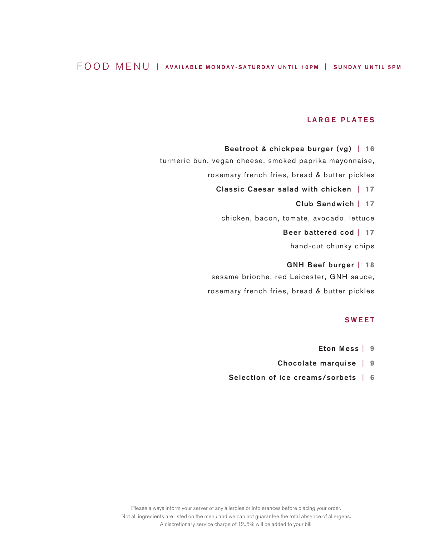# FOOD MENU | AVAILABLE MONDAY-SATURDAY UNTIL 10PM | SUNDAY UNTIL 5PM

### LARGE PLATES

Beetroot & chickpea burger (vg) | **16** turmeric bun, vegan cheese, smoked paprika mayonnaise, rosemary french fries, bread & butter pickles Classic Caesar salad with chicken | **17** Club Sandwich | **17** chicken, bacon, tomate, avocado, lettuce Beer battered cod | **17** hand-cut chunky chips GNH Beef burger | **18** sesame brioche, red Leicester, GNH sauce,

#### SWEET

- Eton Mess | **9**
- Chocolate marquise | **9**
- Selection of ice creams/sorbets | **6**

rosemary french fries, bread & butter pickles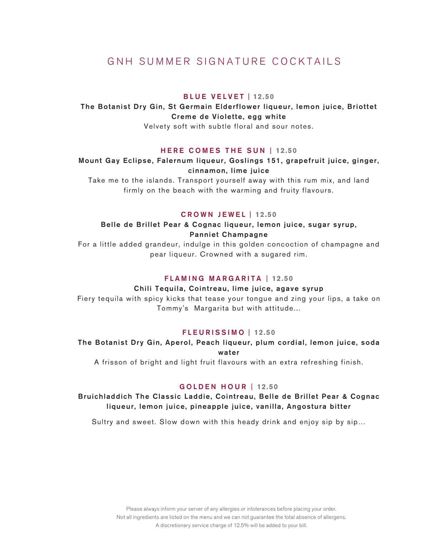# GNH SUMMER SIGNATURE COCKTAILS

### BLUE VELVET | **12.50**

The Botanist Dry Gin, St Germain Elderflower liqueur, lemon juice, Briottet Creme de Violette, egg white

Velvety soft with subtle floral and sour notes.

### HERE COMES THE SUN | **12.50**

## Mount Gay Eclipse, Falernum liqueur, Goslings 151, grapefruit juice, ginger, cinnamon, lime juice

Take me to the islands. Transport yourself away with this rum mix, and land firmly on the beach with the warming and fruity flavours.

#### CROWN JEWEL | **12.50**

### Belle de Brillet Pear & Cognac liqueur, lemon juice, sugar syrup, Panniet Champagne

For a little added grandeur, indulge in this golden concoction of champagne and pear liqueur. Crowned with a sugared rim.

### FLAMING MARGARITA | **12.50**

### Chili Tequila, Cointreau, lime juice, agave syrup

Fiery tequila with spicy kicks that tease your tongue and zing your lips, a take on Tommy's Margarita but with attitude...

#### FLEURISSIMO | **12.50**

# The Botanist Dry Gin, Aperol, Peach liqueur, plum cordial, lemon juice, soda water

A frisson of bright and light fruit flavours with an extra refreshing finish.

### GOLDEN HOUR | **12.50**

## Bruichladdich The Classic Laddie, Cointreau, Belle de Brillet Pear & Cognac liqueur, lemon juice, pineapple juice, vanilla, Angostura bitter

Sultry and sweet. Slow down with this heady drink and enjoy sip by sip...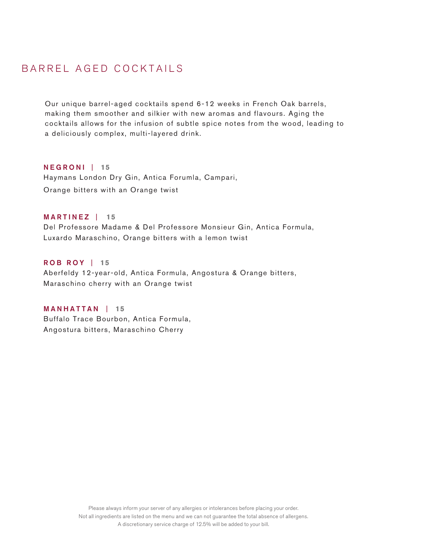# BARREL AGED COCKTAILS

Our unique barrel-aged cocktails spend 6-12 weeks in French Oak barrels, making them smoother and silkier with new aromas and flavours. Aging the cocktails allows for the infusion of subtle spice notes from the wood, leading to a deliciously complex, multi-layered drink.

NEGRONI | **15** Haymans London Dry Gin, Antica Forumla, Campari, Orange bitters with an Orange twist

MARTINEZ | **15** Del Professore Madame & Del Professore Monsieur Gin, Antica Formula, Luxardo Maraschino, Orange bitters with a lemon twist

# ROB ROY | **15**

Aberfeldy 12-year-old, Antica Formula, Angostura & Orange bitters, Maraschino cherry with an Orange twist

MANHATTAN | **15** Buffalo Trace Bourbon, Antica Formula, Angostura bitters, Maraschino Cherry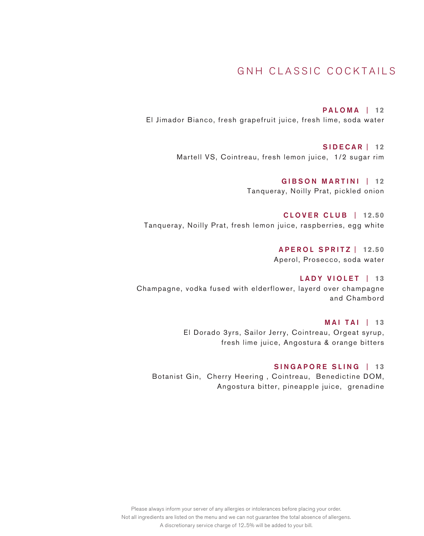# GNH CLASSIC COCKTAILS

PALOMA | **12** El Jimador Bianco, fresh grapefruit juice, fresh lime, soda water

> SIDECAR | **12** Martell VS, Cointreau, fresh lemon juice, 1/2 sugar rim

> > GIBSON MARTINI | **12** Tanqueray, Noilly Prat, pickled onion

CLOVER CLUB | **12.50** Tanqueray, Noilly Prat, fresh lemon juice, raspberries, egg white

> APEROL SPRITZ | **12.50** Aperol, Prosecco, soda water

LADY VIOLET | **13** Champagne, vodka fused with elderflower, layerd over champagne and Chambord

> MAI TAI | **13** El Dorado 3yrs, Sailor Jerry, Cointreau, Orgeat syrup, fresh lime juice, Angostura & orange bitters

### SINGAPORE SLING | **13**

Botanist Gin, Cherry Heering , Cointreau, Benedictine DOM, Angostura bitter, pineapple juice, grenadine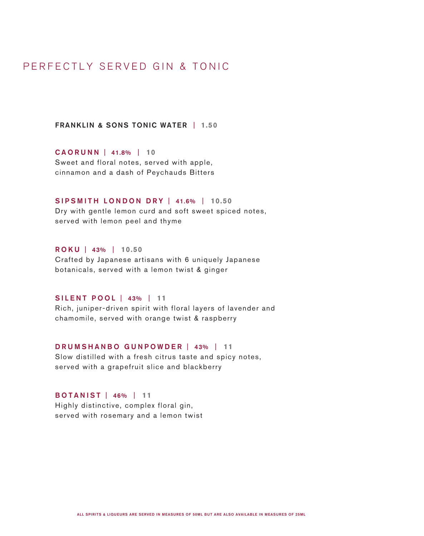# PERFECTLY SERVED GIN & TONIC

FRANKLIN & SONS TONIC WATER | **1.50**

CAORUNN | 41.8% | **10** Sweet and floral notes, served with apple, cinnamon and a dash of Peychauds Bitters

### SIPSMITH LONDON DRY | 41.6% | **10.50**

Dry with gentle lemon curd and soft sweet spiced notes, served with lemon peel and thyme

# ROKU | 43% | **10.50**

Crafted by Japanese artisans with 6 uniquely Japanese botanicals, served with a lemon twist & ginger

## SILENT POOL | 43% | **11**

Rich, juniper-driven spirit with floral layers of lavender and chamomile, served with orange twist & raspberry

## DRUMSHANBO GUNPOWDER | 43% | **11**

Slow distilled with a fresh citrus taste and spicy notes, served with a grapefruit slice and blackberry

# BOTANIST | 46% | **11**

Highly distinctive, complex floral gin, served with rosemary and a lemon twist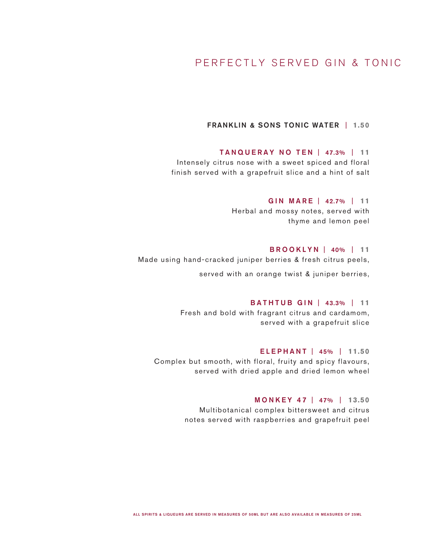# PERFECTLY SERVED GIN & TONIC

## FRANKLIN & SONS TONIC WATER | **1.50**

# TANQUERAY NO TEN | 47.3% | **11**

Intensely citrus nose with a sweet spiced and floral finish served with a grapefruit slice and a hint of salt

#### GIN MARE | 42.7% | **11**

Herbal and mossy notes, served with thyme and lemon peel

### BROOKLYN | 40% | **11**

Made using hand-cracked juniper berries & fresh citrus peels,

served with an orange twist & juniper berries,

# BATHTUB GIN | 43.3% | **11**

Fresh and bold with fragrant citrus and cardamom, served with a grapefruit slice

# ELEPHANT | 45% | **11.50** Complex but smooth, with floral, fruity and spicy flavours, served with dried apple and dried lemon wheel

MONKEY 47 | 47% | **13.50** Multibotanical complex bittersweet and citrus notes served with raspberries and grapefruit peel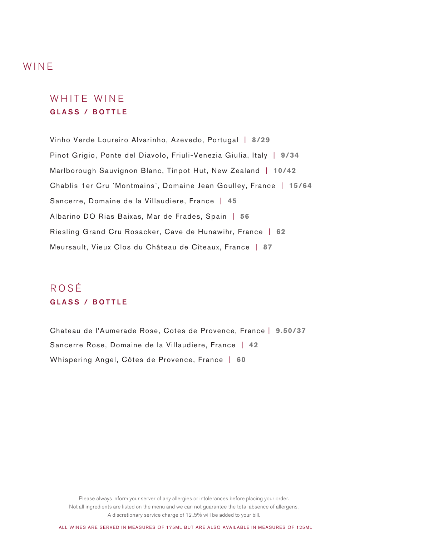# WINE

# WHITE WINE GLASS / BOTTLE

Vinho Verde Loureiro Alvarinho, Azevedo, Portugal | **8/29** Pinot Grigio, Ponte del Diavolo, Friuli-Venezia Giulia, Italy | **9/34** Marlborough Sauvignon Blanc, Tinpot Hut, New Zealand | **10/42** Chablis 1er Cru `Montmains`, Domaine Jean Goulley, France | **15/64** Sancerre, Domaine de la Villaudiere, France | **45** Albarino DO Rias Baixas, Mar de Frades, Spain | **56** Riesling Grand Cru Rosacker, Cave de Hunawihr, France | **62** Meursault, Vieux Clos du Château de Cîteaux, France | **87**

# ROSÉ GLASS / BOTTLE

Chateau de l'Aumerade Rose, Cotes de Provence, France | **9.50/37** Sancerre Rose, Domaine de la Villaudiere, France | **42** Whispering Angel, Côtes de Provence, France | **60**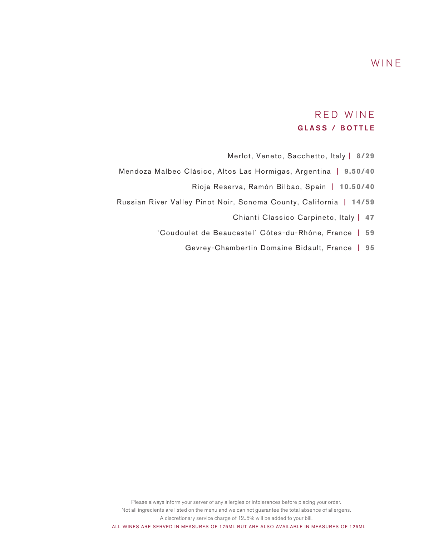# WINE

# RED WINE GLASS / BOTTLE

- Merlot, Veneto, Sacchetto, Italy | **8/29**
- Mendoza Malbec Clásico, Altos Las Hormigas, Argentina | **9.50/40**
	- Rioja Reserva, Ramón Bilbao, Spain | **10.50/40**
- Russian River Valley Pinot Noir, Sonoma County, California | **14/59**
	- Chianti Classico Carpineto, Italy | **47**
	- `Coudoulet de Beaucastel` Côtes-du-Rhône, France | **59**
		- Gevrey-Chambertin Domaine Bidault, France | **95**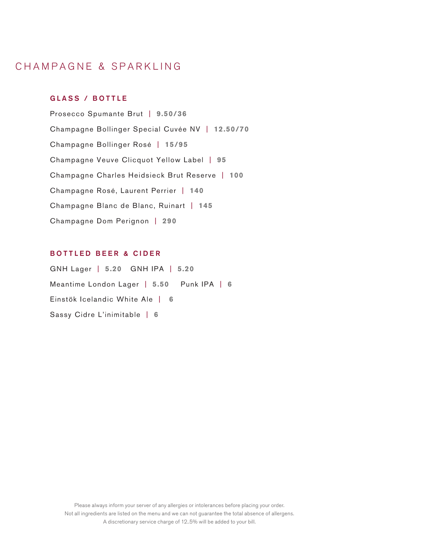# CHAMPAGNE & SPARKLING

## GLASS / BOTTLE

Prosecco Spumante Brut | **9.50/36** Champagne Bollinger Special Cuvée NV | **12.50/70** Champagne Bollinger Rosé | **15/95** Champagne Veuve Clicquot Yellow Label | **95** Champagne Charles Heidsieck Brut Reserve | **100** Champagne Rosé, Laurent Perrier | **140** Champagne Blanc de Blanc, Ruinart | **145** Champagne Dom Perignon | **290**

# BOTTLED BEER & CIDER

GNH Lager | **5.20** GNH IPA | **5.20** Meantime London Lager | **5.50** Punk IPA | **6**  Einstök Icelandic White Ale | **6**  Sassy Cidre L'inimitable | **6**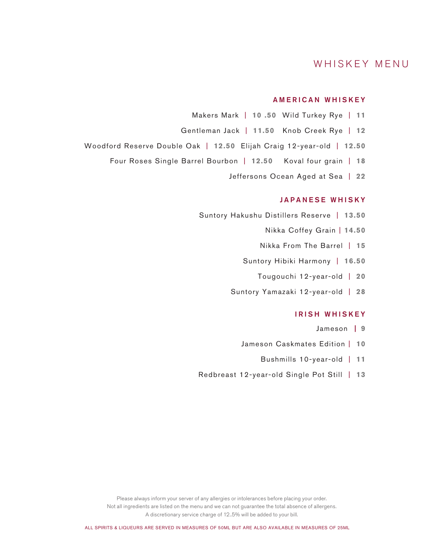# WHISKEY MENU

### AMERICAN WHISKEY

- Makers Mark | **10 .50** Wild Turkey Rye | **11**
- Gentleman Jack | **11.50** Knob Creek Rye | **12**
- Woodford Reserve Double Oak | **12.50** Elijah Craig 12-year-old | **12.50**
	- Four Roses Single Barrel Bourbon | **12.50** Koval four grain | **18**
		- Jeffersons Ocean Aged at Sea | **22**

### JAPANESE WHISKY

- Suntory Hakushu Distillers Reserve | **13.50**
	- Nikka Coffey Grain | **14.50**
	- Nikka From The Barrel | **15**
	- Suntory Hibiki Harmony | **16.50**
		- Tougouchi 12-year-old | **20**
	- Suntory Yamazaki 12-year-old | **28**

# IRISH WHISKEY

- Jameson | **9**
- Jameson Caskmates Edition | **10**
	- Bushmills 10-year-old | **11**
- Redbreast 12-year-old Single Pot Still| **13**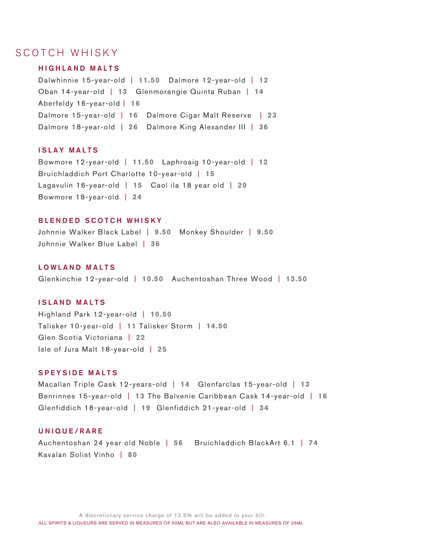# SCOTCH WHISKY

## HIGHLAND MALTS

Dalwhinnie 15-year-old | **11.50** Dalmore 12-year-old | **12** Oban 14-year-old | **13** Glenmorangie Quinta Ruban | **14** Aberfeldy 16-year-old | **16** Dalmore 15-year-old | **16** Dalmore Cigar Malt Reserve | **23** Dalmore 18-year-old | **26** Dalmore King Alexander III | **36**

## ISLAY MALTS

Bowmore 12-year-old | **11.50** Laphroaig 10-year-old | **12** Bruichladdich Port Charlotte 10-year-old | **15** Lagavulin 16-year-old | **15** Caol ila 18 year old | **20** Bowmore 18-year-old | **24**

### BLENDED SCOTCH WHISKY

Johnnie Walker Black Label | **9.50** Monkey Shoulder | **9.50** Johnnie Walker Blue Label | **36**

#### LOWLAND MALTS

Glenkinchie 12-year-old | **10.50** Auchentoshan Three Wood | **13.50**

### ISLAND MALTS

Highland Park 12-year-old | **10.50** Talisker 10-year-old | **11** Talisker Storm | **14.50** Glen Scotia Victoriana | **22**  Isle of Jura Malt 18-year-old | **25**

#### SPEYSIDE MALTS

Macallan Triple Cask 12-years-old | **14** Glenfarclas 15-year-old | **13** Benrinnes 15-year-old | **13** The Balvenie Caribbean Cask 14-year-old | **16** Glenfiddich 18-year-old | **19** Glenfiddich 21-year-old | **34** 

## UNIQUE/RARE

Auchentoshan 24 year old Noble | **56** Bruichladdich BlackArt 6.1 | **74** Kavalan Solist Vinho | **80**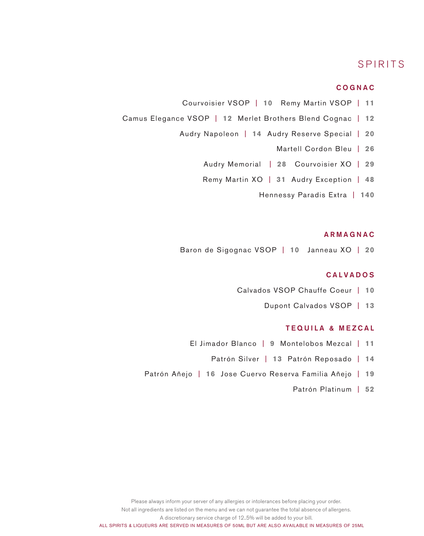# SPIRITS

### COGNAC

- Courvoisier VSOP | **10** Remy Martin VSOP | **11**
- Camus Elegance VSOP | **12** Merlet Brothers Blend Cognac | **12**
	- Audry Napoleon | **14** Audry Reserve Special | **20** 
		- Martell Cordon Bleu | **26**
		- Audry Memorial | **28** Courvoisier XO | **29**
		- Remy Martin XO | **31** Audry Exception | **48** 
			- Hennessy Paradis Extra | **140**

### ARMAGNAC

Baron de Sigognac VSOP | **10** Janneau XO | **20**

# CALVADOS

- Calvados VSOP Chauffe Coeur | **10**
	- Dupont Calvados VSOP | **13**

### TEQUILA & MEZCAL

- El Jimador Blanco | **9** Montelobos Mezcal | **11**
	- Patrón Silver | **13** Patrón Reposado | **14**
- Patrón Añejo | **16** Jose Cuervo Reserva Familia Añejo | **19**
	- Patrón Platinum | **52**

Please always inform your server of any allergies or intolerances before placing your order.

Not all ingredients are listed on the menu and we can not guarantee the total absence of allergens.

A discretionary service charge of 12..5% will be added to your bill.

ALL SPIRITS & LIQUEURS ARE SERVED IN MEASURES OF 50ML BUT ARE ALSO AVAILABLE IN MEASURES OF 25ML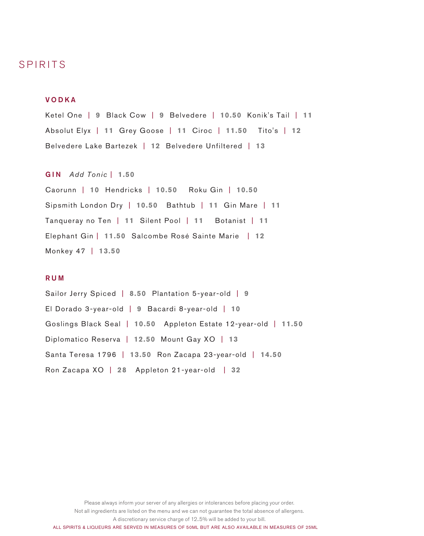# SPIRITS

### VODKA

Ketel One | **9** Black Cow | **9** Belvedere | **10.50** Konik's Tail | **11**  Absolut Elyx | **11** Grey Goose | **11** Ciroc | **11.50** Tito's | **12** Belvedere Lake Bartezek | **12** Belvedere Unfiltered | **13**

### GIN *Add Tonic* | **1.50**

Caorunn | **10** Hendricks | **10.50** Roku Gin | **10.50** Sipsmith London Dry | **10.50** Bathtub | **11** Gin Mare | **11** Tanqueray no Ten | **11** Silent Pool | **11** Botanist | **11**  Elephant Gin | **11.50** Salcombe Rosé Sainte Marie | **12**  Monkey 47 | **13.50** 

### RUM

Sailor Jerry Spiced | **8.50** Plantation 5-year-old | **9** El Dorado 3-year-old | **9** Bacardi 8-year-old | **10**  Goslings Black Seal | **10.50** Appleton Estate 12-year-old | **11.50** Diplomatico Reserva | **12.50** Mount Gay XO | **13** Santa Teresa 1796 | **13.50** Ron Zacapa 23-year-old| **14.50** Ron Zacapa XO | **28** Appleton 21-year-old | **32**

Please always inform your server of any allergies or intolerances before placing your order.

Not all ingredients are listed on the menu and we can not guarantee the total absence of allergens.

A discretionary service charge of 12..5% will be added to your bill.

ALL SPIRITS & LIQUEURS ARE SERVED IN MEASURES OF 50ML BUT ARE ALSO AVAILABLE IN MEASURES OF 25ML